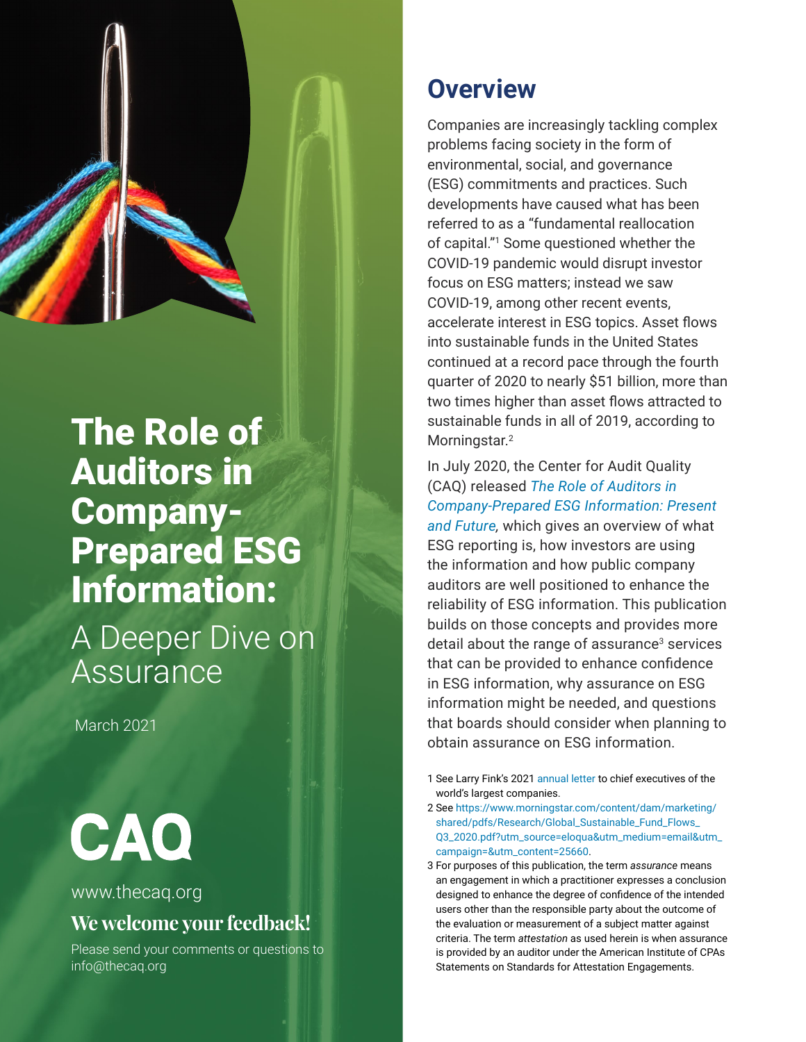

# The Role of Auditors in Company-Prepared ESG Information:

A Deeper Dive on **Assurance** 

March 2021

CAO

#### www.thecaq.org

### **We welcome your feedback!**

Please send your comments or questions to [info@thecaq.or](mailto:info%40thecaq.org?subject=CAQ%20Publication%20Feedback)g

## **Overview**

Companies are increasingly tackling complex problems facing society in the form of environmental, social, and governance (ESG) commitments and practices. Such developments have caused what has been referred to as a "fundamental reallocation of capital."1 Some questioned whether the COVID-19 pandemic would disrupt investor focus on ESG matters; instead we saw COVID-19, among other recent events, accelerate interest in ESG topics. Asset flows into sustainable funds in the United States continued at a record pace through the fourth quarter of 2020 to nearly \$51 billion, more than two times higher than asset flows attracted to sustainable funds in all of 2019, according to Morningstar.<sup>2</sup>

In July 2020, the Center for Audit Quality (CAQ) released *[The Role of Auditors in](https://publication.thecaq.org/rotaesg/introduction/)  [Company-Prepared ESG Information: Present](https://publication.thecaq.org/rotaesg/introduction/)  [and Future,](https://publication.thecaq.org/rotaesg/introduction/)* which gives an overview of what ESG reporting is, how investors are using the information and how public company auditors are well positioned to enhance the reliability of ESG information. This publication builds on those concepts and provides more detail about the range of assurance<sup>3</sup> services that can be provided to enhance confidence in ESG information, why assurance on ESG information might be needed, and questions that boards should consider when planning to obtain assurance on ESG information.

- 1 See Larry Fink's 2021 [annual letter](https://www.blackrock.com/corporate/investor-relations/larry-fink-ceo-letter) to chief executives of the world's largest companies.
- 2 See [https://www.morningstar.com/content/dam/marketing/](https://www.morningstar.com/content/dam/marketing/shared/pdfs/Research/Global_Sustainable_Fund_Flows_Q3_2020.pdf?utm_source=eloqua&utm_medium=email&utm_campaign=&utm_content=25660) [shared/pdfs/Research/Global\\_Sustainable\\_Fund\\_Flows\\_](https://www.morningstar.com/content/dam/marketing/shared/pdfs/Research/Global_Sustainable_Fund_Flows_Q3_2020.pdf?utm_source=eloqua&utm_medium=email&utm_campaign=&utm_content=25660) [Q3\\_2020.pdf?utm\\_source=eloqua&utm\\_medium=email&utm\\_](https://www.morningstar.com/content/dam/marketing/shared/pdfs/Research/Global_Sustainable_Fund_Flows_Q3_2020.pdf?utm_source=eloqua&utm_medium=email&utm_campaign=&utm_content=25660) [campaign=&utm\\_content=25660](https://www.morningstar.com/content/dam/marketing/shared/pdfs/Research/Global_Sustainable_Fund_Flows_Q3_2020.pdf?utm_source=eloqua&utm_medium=email&utm_campaign=&utm_content=25660).
- 3 For purposes of this publication, the term *assurance* means an engagement in which a practitioner expresses a conclusion designed to enhance the degree of confidence of the intended users other than the responsible party about the outcome of the evaluation or measurement of a subject matter against criteria. The term *attestation* as used herein is when assurance is provided by an auditor under the American Institute of CPAs Statements on Standards for Attestation Engagements.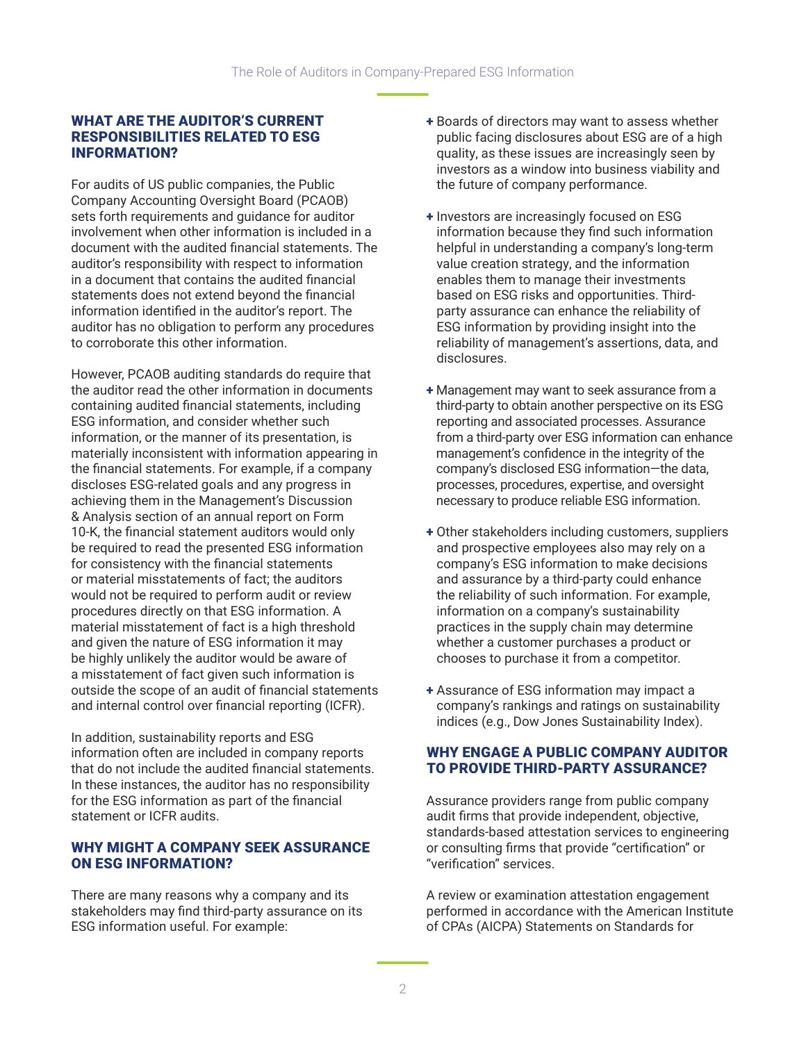#### WHAT ARE THE AUDITOR'S CURRENT RESPONSIBILITIES RELATED TO ESG INFORMATION?

For audits of US public companies, the Public Company Accounting Oversight Board (PCAOB) sets forth requirements and guidance for auditor involvement when other information is included in a document with the audited financial statements. The auditor's responsibility with respect to information in a document that contains the audited financial statements does not extend beyond the financial information identified in the auditor's report. The auditor has no obligation to perform any procedures to corroborate this other information.

However, PCAOB auditing standards do require that the auditor read the other information in documents containing audited financial statements, including ESG information, and consider whether such information, or the manner of its presentation, is materially inconsistent with information appearing in the financial statements. For example, if a company discloses ESG-related goals and any progress in achieving them in the Management's Discussion & Analysis section of an annual report on Form 10-K, the financial statement auditors would only be required to read the presented ESG information for consistency with the financial statements or material misstatements of fact; the auditors would not be required to perform audit or review procedures directly on that ESG information. A material misstatement of fact is a high threshold and given the nature of ESG information it may be highly unlikely the auditor would be aware of a misstatement of fact given such information is outside the scope of an audit of financial statements and internal control over financial reporting (ICFR).

In addition, sustainability reports and ESG information often are included in company reports that do not include the audited financial statements. In these instances, the auditor has no responsibility for the ESG information as part of the financial statement or ICFR audits.

#### WHY MIGHT A COMPANY SEEK ASSURANCE ON ESG INFORMATION?

There are many reasons why a company and its stakeholders may find third-party assurance on its ESG information useful. For example:

- + Boards of directors may want to assess whether public facing disclosures about ESG are of a high quality, as these issues are increasingly seen by investors as a window into business viability and the future of company performance.
- + Investors are increasingly focused on ESG information because they find such information helpful in understanding a company's long-term value creation strategy, and the information enables them to manage their investments based on ESG risks and opportunities. Thirdparty assurance can enhance the reliability of ESG information by providing insight into the reliability of management's assertions, data, and disclosures.
- + Management may want to seek assurance from a third-party to obtain another perspective on its ESG reporting and associated processes. Assurance from a third-party over ESG information can enhance management's confidence in the integrity of the company's disclosed ESG information—the data, processes, procedures, expertise, and oversight necessary to produce reliable ESG information.
- + Other stakeholders including customers, suppliers and prospective employees also may rely on a company's ESG information to make decisions and assurance by a third-party could enhance the reliability of such information. For example, information on a company's sustainability practices in the supply chain may determine whether a customer purchases a product or chooses to purchase it from a competitor.
- + Assurance of ESG information may impact a company's rankings and ratings on sustainability indices (e.g., Dow Jones Sustainability Index).

#### WHY ENGAGE A PUBLIC COMPANY AUDITOR TO PROVIDE THIRD-PARTY ASSURANCE?

Assurance providers range from public company audit firms that provide independent, objective, standards-based attestation services to engineering or consulting firms that provide "certification" or "verification" services.

A review or examination attestation engagement performed in accordance with the American Institute of CPAs (AICPA) Statements on Standards for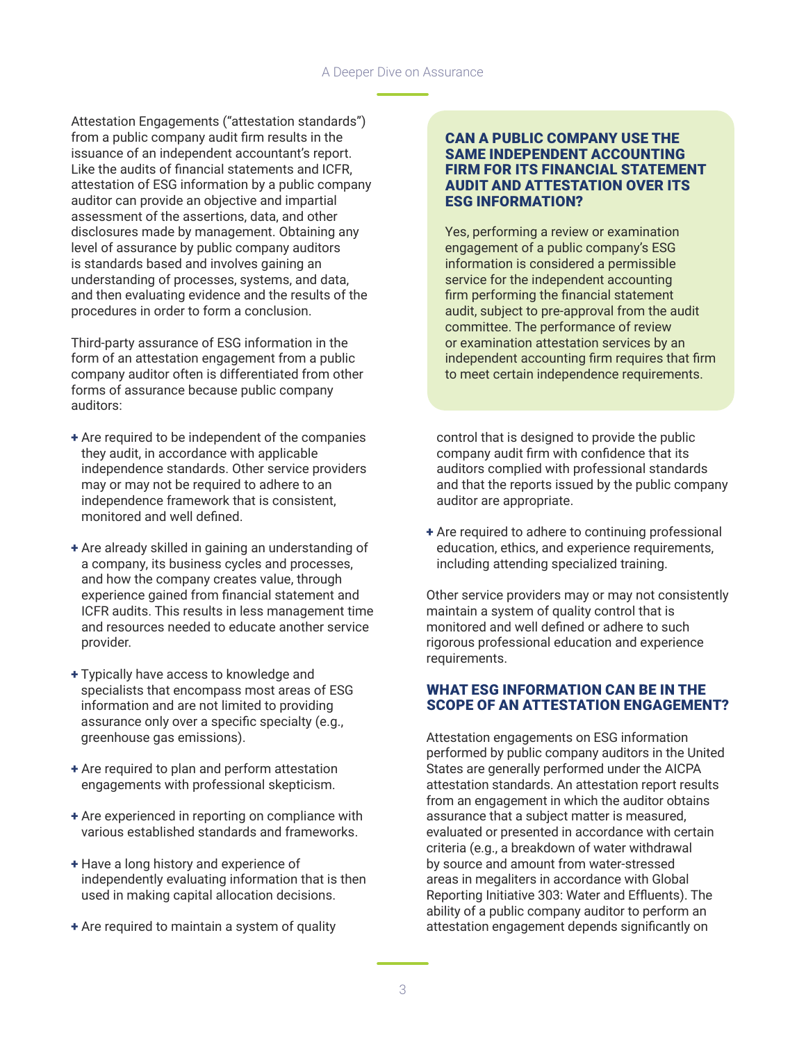Attestation Engagements ("attestation standards") from a public company audit firm results in the issuance of an independent accountant's report. Like the audits of financial statements and ICFR, attestation of ESG information by a public company auditor can provide an objective and impartial assessment of the assertions, data, and other disclosures made by management. Obtaining any level of assurance by public company auditors is standards based and involves gaining an understanding of processes, systems, and data, and then evaluating evidence and the results of the procedures in order to form a conclusion.

Third-party assurance of ESG information in the form of an attestation engagement from a public company auditor often is differentiated from other forms of assurance because public company auditors:

- + Are required to be independent of the companies they audit, in accordance with applicable independence standards. Other service providers may or may not be required to adhere to an independence framework that is consistent, monitored and well defined.
- + Are already skilled in gaining an understanding of a company, its business cycles and processes, and how the company creates value, through experience gained from financial statement and ICFR audits. This results in less management time and resources needed to educate another service provider.
- + Typically have access to knowledge and specialists that encompass most areas of ESG information and are not limited to providing assurance only over a specific specialty (e.g., greenhouse gas emissions).
- + Are required to plan and perform attestation engagements with professional skepticism.
- + Are experienced in reporting on compliance with various established standards and frameworks.
- + Have a long history and experience of independently evaluating information that is then used in making capital allocation decisions.
- + Are required to maintain a system of quality

#### CAN A PUBLIC COMPANY USE THE SAME INDEPENDENT ACCOUNTING FIRM FOR ITS FINANCIAL STATEMENT AUDIT AND ATTESTATION OVER ITS ESG INFORMATION?

Yes, performing a review or examination engagement of a public company's ESG information is considered a permissible service for the independent accounting firm performing the financial statement audit, subject to pre-approval from the audit committee. The performance of review or examination attestation services by an independent accounting firm requires that firm to meet certain independence requirements.

control that is designed to provide the public company audit firm with confidence that its auditors complied with professional standards and that the reports issued by the public company auditor are appropriate.

+ Are required to adhere to continuing professional education, ethics, and experience requirements, including attending specialized training.

Other service providers may or may not consistently maintain a system of quality control that is monitored and well defined or adhere to such rigorous professional education and experience requirements.

#### WHAT ESG INFORMATION CAN BE IN THE SCOPE OF AN ATTESTATION ENGAGEMENT?

Attestation engagements on ESG information performed by public company auditors in the United States are generally performed under the AICPA attestation standards. An attestation report results from an engagement in which the auditor obtains assurance that a subject matter is measured, evaluated or presented in accordance with certain criteria (e.g., a breakdown of water withdrawal by source and amount from water-stressed areas in megaliters in accordance with Global Reporting Initiative 303: Water and Effluents). The ability of a public company auditor to perform an attestation engagement depends significantly on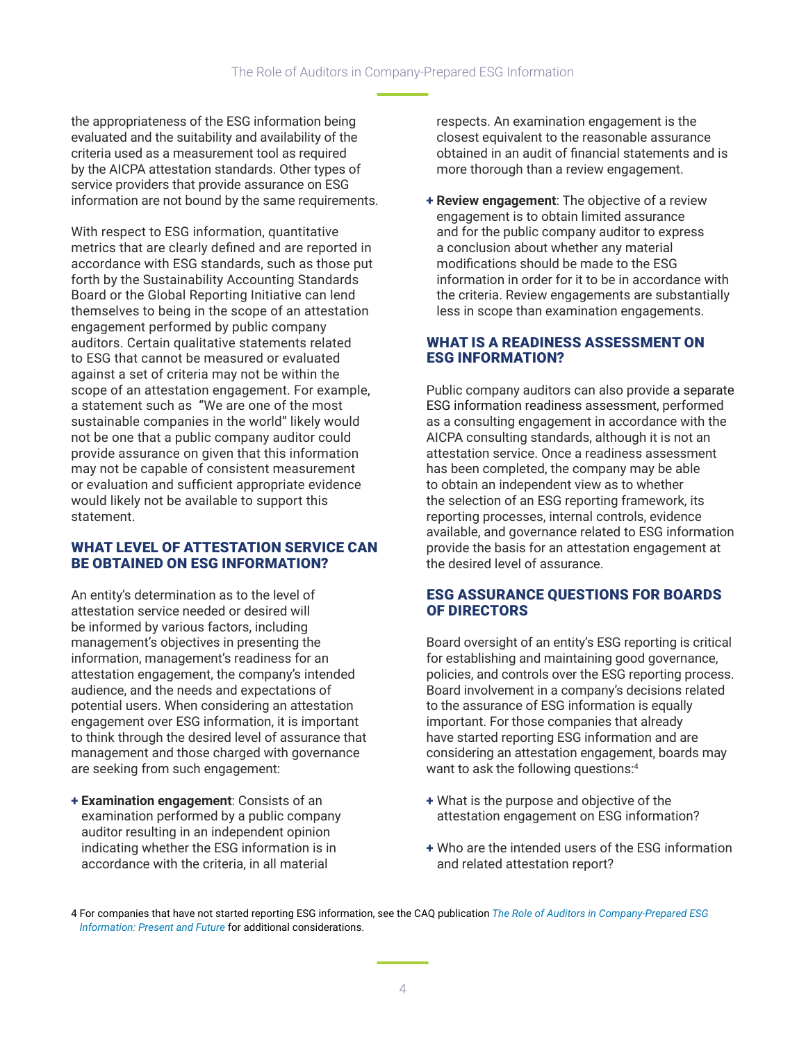the appropriateness of the ESG information being evaluated and the suitability and availability of the criteria used as a measurement tool as required by the AICPA attestation standards. Other types of service providers that provide assurance on ESG information are not bound by the same requirements.

With respect to ESG information, quantitative metrics that are clearly defined and are reported in accordance with ESG standards, such as those put forth by the Sustainability Accounting Standards Board or the Global Reporting Initiative can lend themselves to being in the scope of an attestation engagement performed by public company auditors. Certain qualitative statements related to ESG that cannot be measured or evaluated against a set of criteria may not be within the scope of an attestation engagement. For example, a statement such as "We are one of the most sustainable companies in the world" likely would not be one that a public company auditor could provide assurance on given that this information may not be capable of consistent measurement or evaluation and sufficient appropriate evidence would likely not be available to support this statement.

#### WHAT LEVEL OF ATTESTATION SERVICE CAN BE OBTAINED ON ESG INFORMATION?

An entity's determination as to the level of attestation service needed or desired will be informed by various factors, including management's objectives in presenting the information, management's readiness for an attestation engagement, the company's intended audience, and the needs and expectations of potential users. When considering an attestation engagement over ESG information, it is important to think through the desired level of assurance that management and those charged with governance are seeking from such engagement:

+ **Examination engagement**: Consists of an examination performed by a public company auditor resulting in an independent opinion indicating whether the ESG information is in accordance with the criteria, in all material

respects. An examination engagement is the closest equivalent to the reasonable assurance obtained in an audit of financial statements and is more thorough than a review engagement.

+ **Review engagement**: The objective of a review engagement is to obtain limited assurance and for the public company auditor to express a conclusion about whether any material modifications should be made to the ESG information in order for it to be in accordance with the criteria. Review engagements are substantially less in scope than examination engagements.

#### WHAT IS A READINESS ASSESSMENT ON ESG INFORMATION?

Public company auditors can also provide a separate ESG information readiness assessment, performed as a consulting engagement in accordance with the AICPA consulting standards, although it is not an attestation service. Once a readiness assessment has been completed, the company may be able to obtain an independent view as to whether the selection of an ESG reporting framework, its reporting processes, internal controls, evidence available, and governance related to ESG information provide the basis for an attestation engagement at the desired level of assurance.

#### ESG ASSURANCE QUESTIONS FOR BOARDS OF DIRECTORS

Board oversight of an entity's ESG reporting is critical for establishing and maintaining good governance, policies, and controls over the ESG reporting process. Board involvement in a company's decisions related to the assurance of ESG information is equally important. For those companies that already have started reporting ESG information and are considering an attestation engagement, boards may want to ask the following questions:<sup>4</sup>

- + What is the purpose and objective of the attestation engagement on ESG information?
- + Who are the intended users of the ESG information and related attestation report?

4 For companies that have not started reporting ESG information, see the CAQ publication *[The Role of Auditors in Company-Prepared ESG](https://publication.thecaq.org/rotaesg/introduction/)  [Information: Present and Future](https://publication.thecaq.org/rotaesg/introduction/)* for additional considerations.